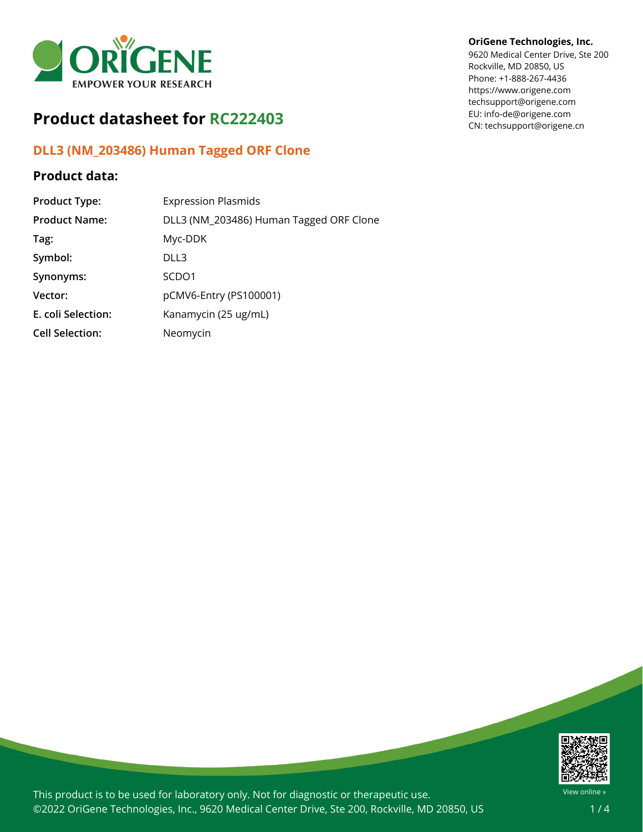

# **Product datasheet for RC222403**

## **DLL3 (NM\_203486) Human Tagged ORF Clone**

### **Product data:**

| <b>Product Type:</b>   | <b>Expression Plasmids</b>              |
|------------------------|-----------------------------------------|
| <b>Product Name:</b>   | DLL3 (NM_203486) Human Tagged ORF Clone |
| Tag:                   | Myc-DDK                                 |
| Symbol:                | DLL3                                    |
| Synonyms:              | SCDO <sub>1</sub>                       |
| Vector:                | pCMV6-Entry (PS100001)                  |
| E. coli Selection:     | Kanamycin (25 ug/mL)                    |
| <b>Cell Selection:</b> | Neomycin                                |

#### **OriGene Technologies, Inc.**

9620 Medical Center Drive, Ste 200 Rockville, MD 20850, US Phone: +1-888-267-4436 https://www.origene.com techsupport@origene.com EU: info-de@origene.com CN: techsupport@origene.cn



This product is to be used for laboratory only. Not for diagnostic or therapeutic use. ©2022 OriGene Technologies, Inc., 9620 Medical Center Drive, Ste 200, Rockville, MD 20850, US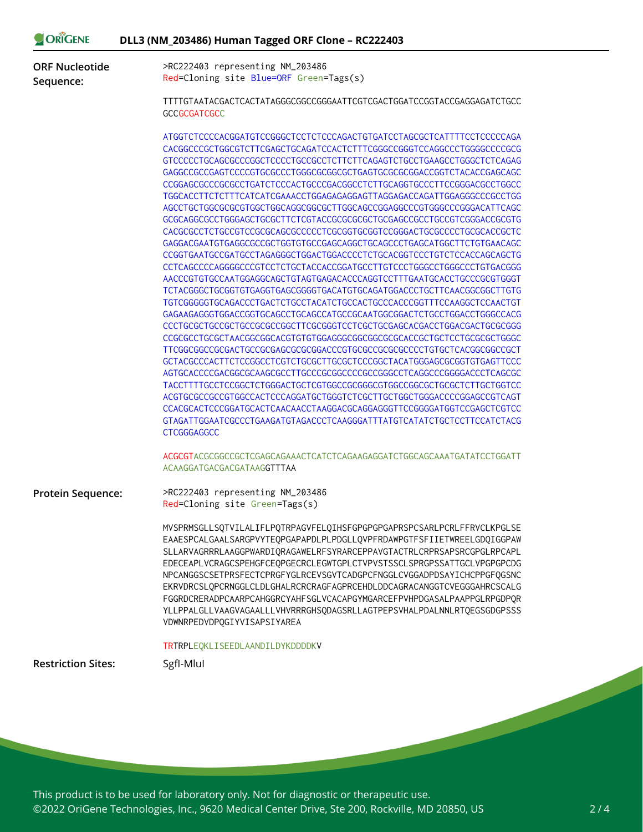| >RC222403 representing NM_203486<br>Red=Cloning site Blue=ORF Green=Tags(s)<br>TTTTGTAATACGACTCACTATAGGGCGGCCGGGAATTCGTCGACTGGATCCGGTACCGAGGAGATCTGCC<br><b>GCCGCGATCGCC</b><br>ATGGTCTCCCCACGGATGTCCGGGCTCCTCTCCCAGACTGTGATCCTAGCGCTCATTTTCCTCCCCCAGA<br>CACGGCCCGCTGGCGTCTTCGAGCTGCAGATCCACTCTTTCGGGCCGGGTCCAGGCCCTGGGGCCCCGCG<br>GTCCCCCTGCAGCGCCCGGCTCCCCTGCCGCCTCTTCTTCAGAGTCTGCCTGAAGCCTGGGCTCTCAGAG<br>GAGGCCGCCGAGTCCCCGTGCGCCCTGGGCGCGCGCTGAGTGCGCGCGGACCGGTCTACACCGAGCAGC<br>CCGGAGCGCCCGCGCCTGATCTCCCACTGCCCGACGGCCTCTTGCAGGTGCCCTTCCGGGACGCCTGGCC<br>TGGCACCTTCTCTTTCATCATCGAAACCTGGAGAGAGGAGTTAGGAGACCAGATTGGAGGGCCCGCCTGG<br>AGCCTGCTGGCGCGCGTGGCTGGCAGGCGGCGCTTGGCAGCCGGAGGCCCGTGGGCCCGGGACATTCAGC<br>CACGCGCCTCTGCCGTCCGCGCAGCGCCCCCTCGCGGTGCGGTCCGGGACTGCGCCCCTGCGCACCGCTC<br>GAGGACGAATGTGAGGCGCCGCTGGTGTGCCGAGCAGGCTGCAGCCCTGAGCATGGCTTCTGTGAACAGC<br>CCGGTGAATGCCGATGCCTAGAGGGCTGGACTGGACCCCTCTGCACGGTCCCTGTCTCCACCAGCAGCTG<br>CCTCAGCCCCAGGGGCCCGTCCTCTGCTACCACCGGATGCCTTGTCCCTGGGCCTGGGCCCTGTGACGGG |
|---------------------------------------------------------------------------------------------------------------------------------------------------------------------------------------------------------------------------------------------------------------------------------------------------------------------------------------------------------------------------------------------------------------------------------------------------------------------------------------------------------------------------------------------------------------------------------------------------------------------------------------------------------------------------------------------------------------------------------------------------------------------------------------------------------------------------------------------------------------------------------------------------------------------------------------------------------------------------------------------------------------------------|
|                                                                                                                                                                                                                                                                                                                                                                                                                                                                                                                                                                                                                                                                                                                                                                                                                                                                                                                                                                                                                           |
|                                                                                                                                                                                                                                                                                                                                                                                                                                                                                                                                                                                                                                                                                                                                                                                                                                                                                                                                                                                                                           |
| AACCCGTGTGCCAATGGAGGCAGCTGTAGTGAGACACCCAGGTCCTTTGAATGCACCTGCCCGCGTGGGT<br>TCTACGGGCTGCGGTGTGAGGTGAGCGGGGTGACATGTGCAGATGGACCCTGCTTCAACGGCGGCTTGTG<br>TGTCGGGGGTGCAGACCCTGACTCTGCCTACATCTGCCACTGCCCACCCGGTTTCCAAGGCTCCAACTGT<br>GAGAAGAGGGTGGACCGGTGCAGCCTGCAGCCATGCCGCAATGGCGGACTCTGCCTGGACCTGGGCCACG<br>CCCTGCGCTGCCGCTGCCGCGCCGGCTTCGCGGGTCCTCGCTGCGAGCACGACCTGGACGACTGCGCGGG<br>CCGCGCCTGCGCTAACGGCGGCACGTGTGTGGAGGGCGCGGCGCGCACCGCTGCTCCTGCGCGCTGGGC<br>TTCGGCGGCCGCGACTGCCGCGAGCGCGGGACCCGTGCGCCGCGCGCCCCTGTGCTCACGGCGGCCGCT<br>GCTACGCCCACTTCTCCGGCCTCGTCTGCGCTTGCGCTCCCGGCTACATGGGAGCGCGGTGTGAGTTCCC<br>AGTGCACCCCGACGGCGCAAGCGCCTTGCCCGCGGCCCCGGCGGCCTCAGGCCCGGGGACCCTCAGCGC<br>TACCTTTTGCCTCCGGCTCTGGGACTGCTCGTGGCCGCGGGCGTGGCCGGCGCTGCGCTCTTGCTGGTCC<br>CCACGCACTCCCGGATGCACTCAACAACCTAAGGACGCAGGAGGGTTCCGGGGATGGTCCGAGCTCGTCC<br>GTAGATTGGAATCGCCCTGAAGATGTAGACCCTCAAGGGATTTATGTCATATCTGCTCCTTCCATCTACG<br><b>CTCGGGAGGCC</b><br>ACGCGTACGCGGCCGCTCGAGCAGAAACTCATCTCAGAAGAGGATCTGGCAGCAAATGATATCCTGGATT         |
| ACAAGGATGACGACGATAAGGTTTAA<br>>RC222403 representing NM_203486                                                                                                                                                                                                                                                                                                                                                                                                                                                                                                                                                                                                                                                                                                                                                                                                                                                                                                                                                            |
| Red=Cloning site Green=Tags(s)<br>MVSPRMSGLLSQTVILALIFLPQTRPAGVFELQIHSFGPGPGPGAPRSPCSARLPCRLFFRVCLKPGLSE<br>EAAESPCALGAALSARGPVYTEQPGAPAPDLPLPDGLLQVPFRDAWPGTFSFIIETWREELGDQIGGPAW<br>SLLARVAGRRRLAAGGPWARDIQRAGAWELRFSYRARCEPPAVGTACTRLCRPRSAPSRCGPGLRPCAPL<br>EDECEAPLVCRAGCSPEHGFCEQPGECRCLEGWTGPLCTVPVSTSSCLSPRGPSSATTGCLVPGPGPCDG<br>NPCANGGSCSETPRSFECTCPRGFYGLRCEVSGVTCADGPCFNGGLCVGGADPDSAYICHCPPGFQGSNC<br>EKRVDRCSLOPCRNGGLCLDLGHALRCRCRAGFAGPRCEHDLDDCAGRACANGGTCVEGGGAHRCSCALG<br>FGGRDCRERADPCAARPCAHGGRCYAHFSGLVCACAPGYMGARCEFPVHPDGASALPAAPPGLRPGDPQR<br>YLLPPALGLLVAAGVAGAALLLVHVRRRGHSQDAGSRLLAGTPEPSVHALPDALNNLRTQEGSGDGPSSS<br>VDWNRPEDVDPQGIYVISAPSIYAREA                                                                                                                                                                                                                                                                                                                                             |
| TRTRPLEQKLISEEDLAANDILDYKDDDDKV                                                                                                                                                                                                                                                                                                                                                                                                                                                                                                                                                                                                                                                                                                                                                                                                                                                                                                                                                                                           |
| SgfI-Mlul                                                                                                                                                                                                                                                                                                                                                                                                                                                                                                                                                                                                                                                                                                                                                                                                                                                                                                                                                                                                                 |
|                                                                                                                                                                                                                                                                                                                                                                                                                                                                                                                                                                                                                                                                                                                                                                                                                                                                                                                                                                                                                           |

This product is to be used for laboratory only. Not for diagnostic or therapeutic use. ©2022 OriGene Technologies, Inc., 9620 Medical Center Drive, Ste 200, Rockville, MD 20850, US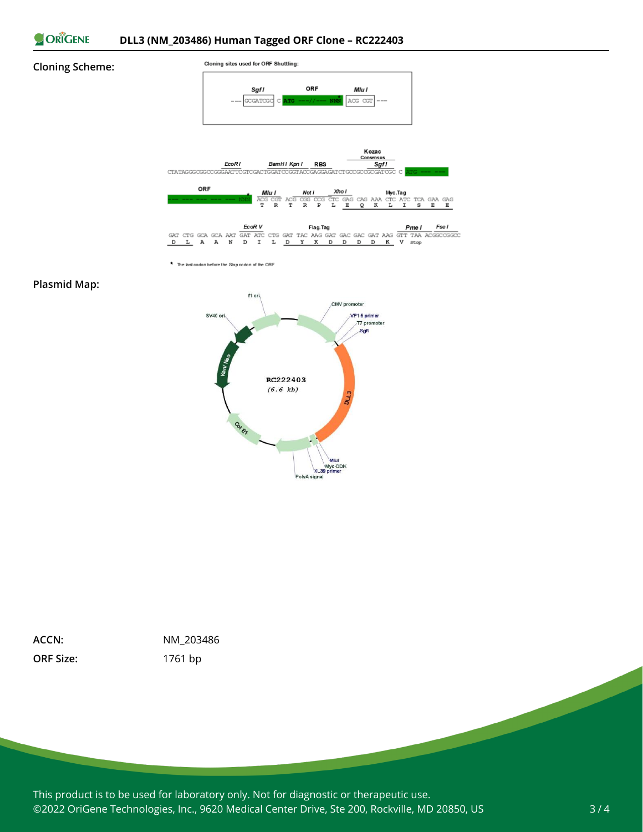

#### **Cloning Scheme:**



\* The last codon before the Stop codon of the ORF

#### **Plasmid Map:**



**ORF Size:** 1761 bp

**ACCN:** NM\_203486

This product is to be used for laboratory only. Not for diagnostic or therapeutic use. ©2022 OriGene Technologies, Inc., 9620 Medical Center Drive, Ste 200, Rockville, MD 20850, US